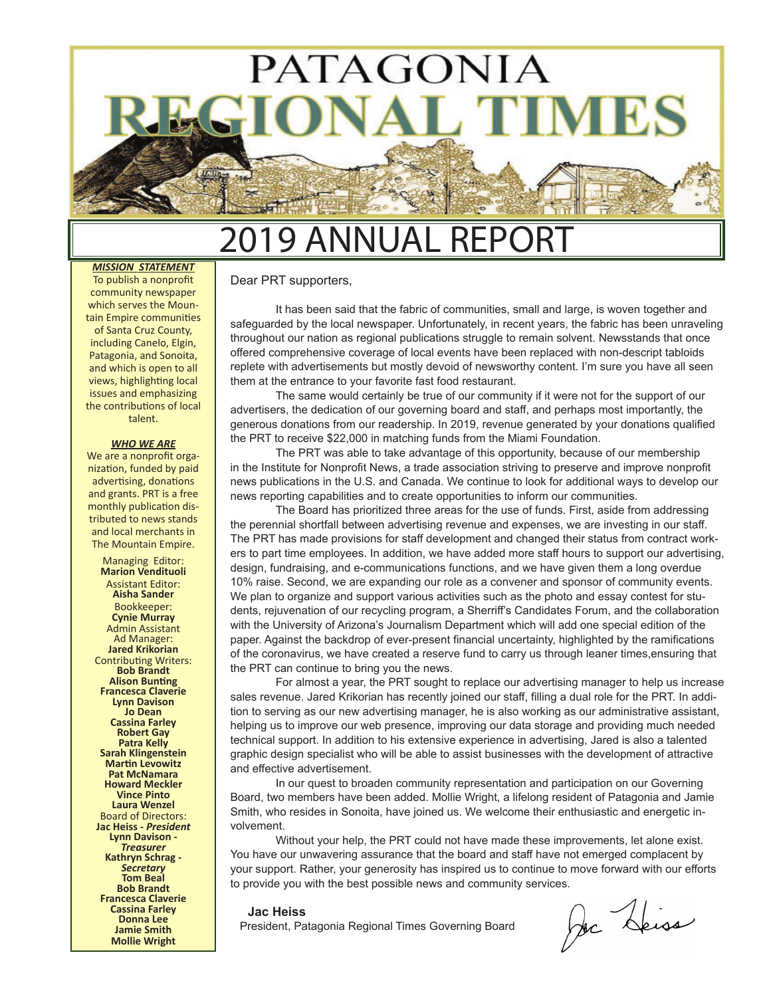

## 9 ANNUAL REPORT

*MISSION STATEMENT* To publish a nonprofit community newspaper which serves the Mountain Empire communities of Santa Cruz County, including Canelo, Elgin, Patagonia, and Sonoita, and which is open to all views, highlighting local issues and emphasizing the contributions of local talent.

#### *WHO WE ARE*

We are a nonprofit organization, funded by paid advertising, donations and grants. PRT is a free monthly publication distributed to news stands and local merchants in The Mountain Empire.

Managing Editor: **Marion Vendituoli** Assistant Editor: **Aisha Sander** Bookkeeper: **Cynie Murray** Admin Assistant Ad Manager: **Jared Krikorian** Contributing Writers: **Bob Brandt Alison Bunting Francesca Claverie Lynn Davison Jo Dean Cassina Farley Robert Gay Patra Kelly Sarah Klingenstein Martin Levowitz Pat McNamara Howard Meckler Vince Pinto Laura Wenzel** Board of Directors: **Jac Heiss -** *President* **Lynn Davison -**  *Treasurer* **Kathryn Schrag -** *Secretary*  **Tom Beal Bob Brandt Francesca Claverie Cassina Farley Donna Lee Jamie Smith Mollie Wright**

### Dear PRT supporters,

It has been said that the fabric of communities, small and large, is woven together and safeguarded by the local newspaper. Unfortunately, in recent years, the fabric has been unraveling throughout our nation as regional publications struggle to remain solvent. Newsstands that once offered comprehensive coverage of local events have been replaced with non-descript tabloids replete with advertisements but mostly devoid of newsworthy content. I'm sure you have all seen them at the entrance to your favorite fast food restaurant.

The same would certainly be true of our community if it were not for the support of our advertisers, the dedication of our governing board and staff, and perhaps most importantly, the generous donations from our readership. In 2019, revenue generated by your donations qualified the PRT to receive \$22,000 in matching funds from the Miami Foundation.

The PRT was able to take advantage of this opportunity, because of our membership in the Institute for Nonprofit News, a trade association striving to preserve and improve nonprofit news publications in the U.S. and Canada. We continue to look for additional ways to develop our news reporting capabilities and to create opportunities to inform our communities.

The Board has prioritized three areas for the use of funds. First, aside from addressing the perennial shortfall between advertising revenue and expenses, we are investing in our staff. The PRT has made provisions for staff development and changed their status from contract workers to part time employees. In addition, we have added more staff hours to support our advertising, design, fundraising, and e-communications functions, and we have given them a long overdue 10% raise. Second, we are expanding our role as a convener and sponsor of community events. We plan to organize and support various activities such as the photo and essay contest for students, rejuvenation of our recycling program, a Sherriff's Candidates Forum, and the collaboration with the University of Arizona's Journalism Department which will add one special edition of the paper. Against the backdrop of ever-present financial uncertainty, highlighted by the ramifications of the coronavirus, we have created a reserve fund to carry us through leaner times,ensuring that the PRT can continue to bring you the news.

For almost a year, the PRT sought to replace our advertising manager to help us increase sales revenue. Jared Krikorian has recently joined our staff, filling a dual role for the PRT. In addition to serving as our new advertising manager, he is also working as our administrative assistant, helping us to improve our web presence, improving our data storage and providing much needed technical support. In addition to his extensive experience in advertising, Jared is also a talented graphic design specialist who will be able to assist businesses with the development of attractive and effective advertisement.

In our quest to broaden community representation and participation on our Governing Board, two members have been added. Mollie Wright, a lifelong resident of Patagonia and Jamie Smith, who resides in Sonoita, have joined us. We welcome their enthusiastic and energetic involvement.

Without your help, the PRT could not have made these improvements, let alone exist. You have our unwavering assurance that the board and staff have not emerged complacent by your support. Rather, your generosity has inspired us to continue to move forward with our efforts to provide you with the best possible news and community services.

### **Jac Heiss**

President, Patagonia Regional Times Governing Board

Dec Deiss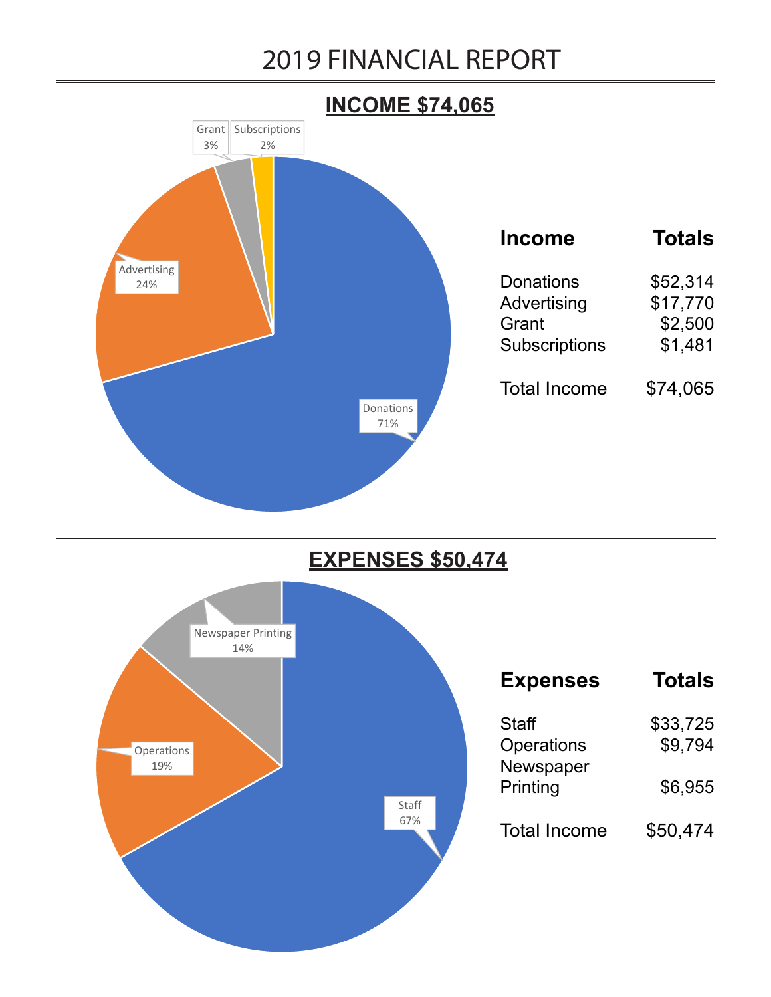### 2019 FINANCIAL REPORT



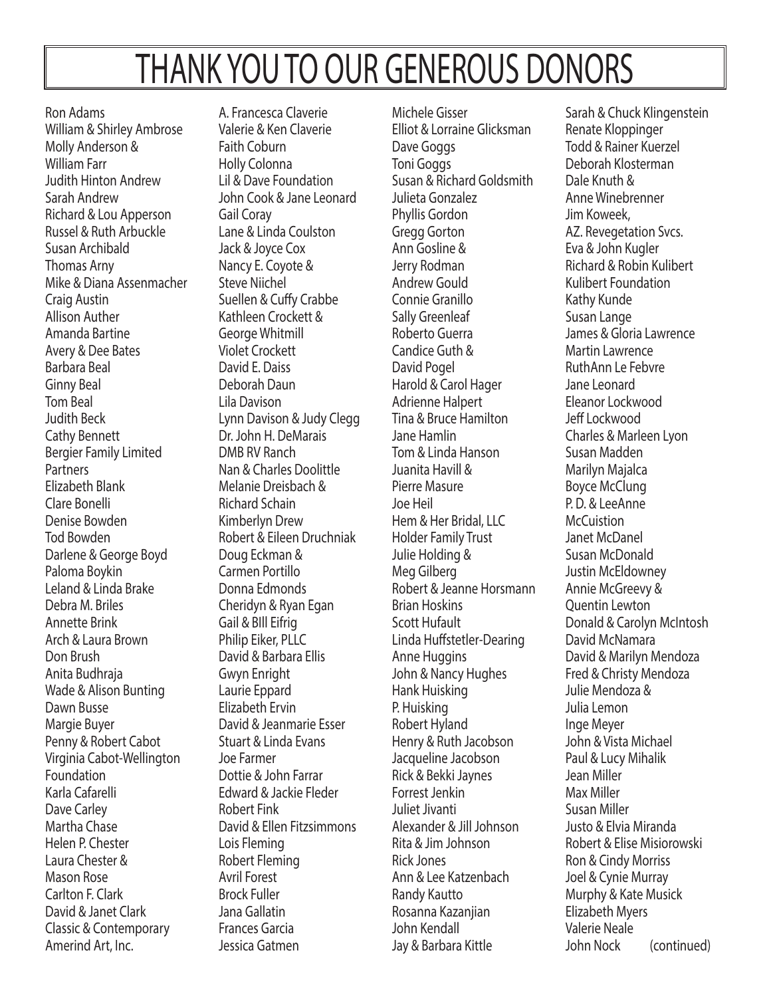# THANK YOU TO OUR GENEROUS DONORS

Ron Adams William & Shirley Ambrose Molly Anderson & William Farr Judith Hinton Andrew Sarah Andrew Richard & Lou Apperson Russel & Ruth Arbuckle Susan Archibald Thomas Arny Mike & Diana Assenmacher Craig Austin Allison Auther Amanda Bartine Avery & Dee Bates Barbara Beal Ginny Beal Tom Beal Judith Beck Cathy Bennett Bergier Family Limited Partners Elizabeth Blank Clare Bonelli Denise Bowden Tod Bowden Darlene & George Boyd Paloma Boykin Leland & Linda Brake Debra M. Briles Annette Brink Arch & Laura Brown Don Brush Anita Budhraja Wade & Alison Bunting Dawn Busse Margie Buyer Penny & Robert Cabot Virginia Cabot-Wellington Foundation Karla Cafarelli Dave Carley Martha Chase Helen P. Chester Laura Chester & Mason Rose Carlton F. Clark David & Janet Clark Classic & Contemporary Amerind Art, Inc.

A. Francesca Claverie Valerie & Ken Claverie Faith Coburn Holly Colonna Lil & Dave Foundation John Cook & Jane Leonard Gail Coray Lane & Linda Coulston Jack & Joyce Cox Nancy E. Coyote & Steve Niichel Suellen & Cuffy Crabbe Kathleen Crockett & George Whitmill Violet Crockett David E. Daiss Deborah Daun Lila Davison Lynn Davison & Judy Clegg Dr. John H. DeMarais DMB RV Ranch Nan & Charles Doolittle Melanie Dreisbach & Richard Schain Kimberlyn Drew Robert & Eileen Druchniak Doug Eckman & Carmen Portillo Donna Edmonds Cheridyn & Ryan Egan Gail & BIll Eifrig Philip Eiker, PLLC David & Barbara Ellis Gwyn Enright Laurie Eppard Elizabeth Ervin David & Jeanmarie Esser Stuart & Linda Evans Joe Farmer Dottie & John Farrar Edward & Jackie Fleder Robert Fink David & Ellen Fitzsimmons Lois Fleming Robert Fleming Avril Forest Brock Fuller Jana Gallatin Frances Garcia Jessica Gatmen

Michele Gisser Elliot & Lorraine Glicksman Dave Goggs Toni Goggs Susan & Richard Goldsmith Julieta Gonzalez Phyllis Gordon Gregg Gorton Ann Gosline & Jerry Rodman Andrew Gould Connie Granillo Sally Greenleaf Roberto Guerra Candice Guth & David Pogel Harold & Carol Hager Adrienne Halpert Tina & Bruce Hamilton Jane Hamlin Tom & Linda Hanson Juanita Havill & Pierre Masure Joe Heil Hem & Her Bridal, LLC Holder Family Trust Julie Holding & Meg Gilberg Robert & Jeanne Horsmann Brian Hoskins Scott Hufault Linda Huffstetler-Dearing Anne Huggins John & Nancy Hughes Hank Huisking P. Huisking Robert Hyland Henry & Ruth Jacobson Jacqueline Jacobson Rick & Bekki Jaynes Forrest Jenkin Juliet Jivanti Alexander & Jill Johnson Rita & Jim Johnson Rick Jones Ann & Lee Katzenbach Randy Kautto Rosanna Kazanjian John Kendall Jay & Barbara Kittle

Sarah & Chuck Klingenstein Renate Kloppinger Todd & Rainer Kuerzel Deborah Klosterman Dale Knuth & Anne Winebrenner Jim Koweek, AZ. Revegetation Svcs. Eva & John Kugler Richard & Robin Kulibert Kulibert Foundation Kathy Kunde Susan Lange James & Gloria Lawrence Martin Lawrence RuthAnn Le Febvre Jane Leonard Eleanor Lockwood Jeff Lockwood Charles & Marleen Lyon Susan Madden Marilyn Majalca Boyce McClung P. D. & LeeAnne **McCuistion** Janet McDanel Susan McDonald Justin McEldowney Annie McGreevy & Quentin Lewton Donald & Carolyn McIntosh David McNamara David & Marilyn Mendoza Fred & Christy Mendoza Julie Mendoza & Julia Lemon Inge Meyer John & Vista Michael Paul & Lucy Mihalik Jean Miller Max Miller Susan Miller Justo & Elvia Miranda Robert & Elise Misiorowski Ron & Cindy Morriss Joel & Cynie Murray Murphy & Kate Musick Elizabeth Myers Valerie Neale John Nock (continued)